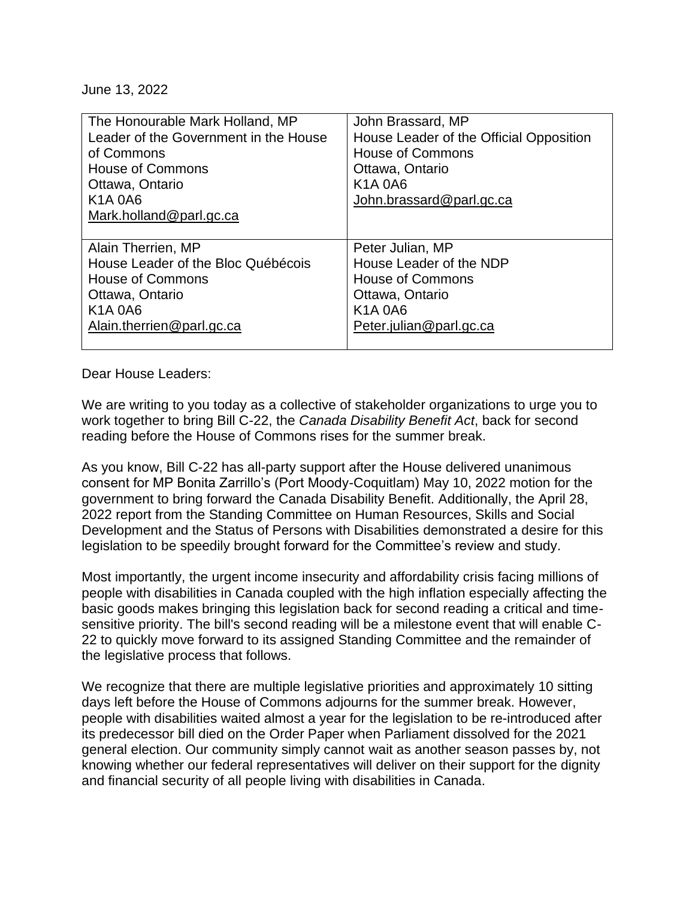June 13, 2022

| The Honourable Mark Holland, MP       | John Brassard, MP                       |
|---------------------------------------|-----------------------------------------|
| Leader of the Government in the House | House Leader of the Official Opposition |
| of Commons                            | <b>House of Commons</b>                 |
| <b>House of Commons</b>               | Ottawa, Ontario                         |
| Ottawa, Ontario                       | <b>K1A0A6</b>                           |
| <b>K1A0A6</b>                         | John.brassard@parl.gc.ca                |
| Mark.holland@parl.gc.ca               |                                         |
|                                       |                                         |
|                                       |                                         |
| Alain Therrien, MP                    | Peter Julian, MP                        |
| House Leader of the Bloc Québécois    | House Leader of the NDP                 |
| <b>House of Commons</b>               | <b>House of Commons</b>                 |
| Ottawa, Ontario                       | Ottawa, Ontario                         |
| <b>K1A0A6</b>                         | <b>K1A0A6</b>                           |
| Alain.therrien@parl.gc.ca             | Peter.julian@parl.gc.ca                 |

Dear House Leaders:

We are writing to you today as a collective of stakeholder organizations to urge you to work together to bring Bill C-22, the *Canada Disability Benefit Act*, back for second reading before the House of Commons rises for the summer break.

As you know, Bill C-22 has all-party support after the House delivered unanimous consent for MP Bonita Zarrillo's (Port Moody-Coquitlam) May 10, 2022 motion for the government to bring forward the Canada Disability Benefit. Additionally, the April 28, 2022 report from the Standing Committee on Human Resources, Skills and Social Development and the Status of Persons with Disabilities demonstrated a desire for this legislation to be speedily brought forward for the Committee's review and study.

Most importantly, the urgent income insecurity and affordability crisis facing millions of people with disabilities in Canada coupled with the high inflation especially affecting the basic goods makes bringing this legislation back for second reading a critical and timesensitive priority. The bill's second reading will be a milestone event that will enable C-22 to quickly move forward to its assigned Standing Committee and the remainder of the legislative process that follows.

We recognize that there are multiple legislative priorities and approximately 10 sitting days left before the House of Commons adjourns for the summer break. However, people with disabilities waited almost a year for the legislation to be re-introduced after its predecessor bill died on the Order Paper when Parliament dissolved for the 2021 general election. Our community simply cannot wait as another season passes by, not knowing whether our federal representatives will deliver on their support for the dignity and financial security of all people living with disabilities in Canada.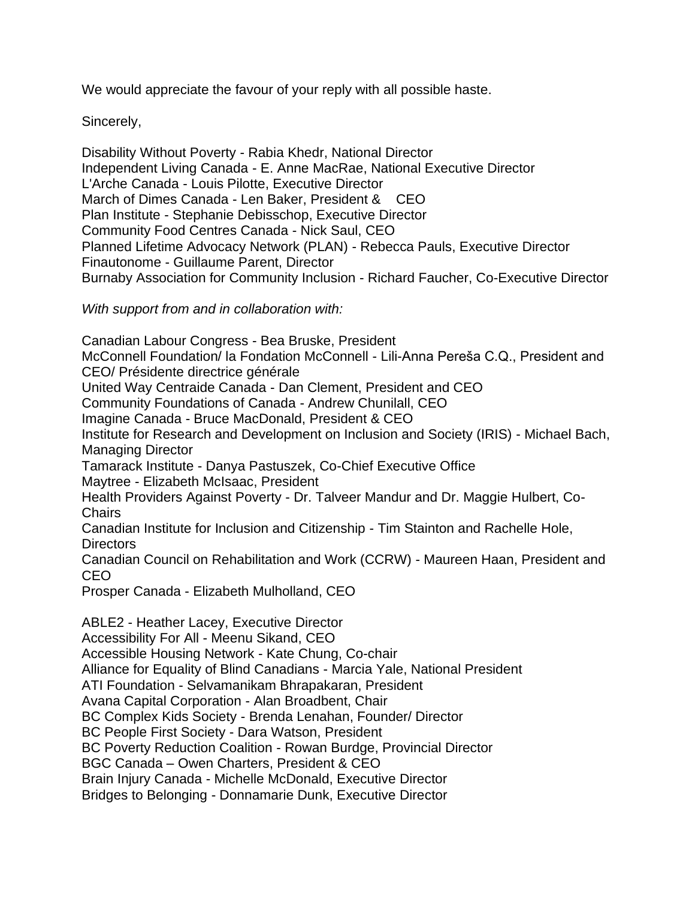We would appreciate the favour of your reply with all possible haste.

Sincerely,

Disability Without Poverty - Rabia Khedr, National Director Independent Living Canada - E. Anne MacRae, National Executive Director L'Arche Canada - Louis Pilotte, Executive Director March of Dimes Canada - Len Baker, President & CEO Plan Institute - Stephanie Debisschop, Executive Director Community Food Centres Canada - Nick Saul, CEO Planned Lifetime Advocacy Network (PLAN) - Rebecca Pauls, Executive Director Finautonome - Guillaume Parent, Director Burnaby Association for Community Inclusion - Richard Faucher, Co-Executive Director

*With support from and in collaboration with:*

Canadian Labour Congress - Bea Bruske, President McConnell Foundation/ la Fondation McConnell - Lili-Anna Pereša C.Q., President and CEO/ Présidente directrice générale United Way Centraide Canada - Dan Clement, President and CEO Community Foundations of Canada - Andrew Chunilall, CEO Imagine Canada - Bruce MacDonald, President & CEO Institute for Research and Development on Inclusion and Society (IRIS) - Michael Bach, Managing Director Tamarack Institute - Danya Pastuszek, Co-Chief Executive Office Maytree - Elizabeth McIsaac, President Health Providers Against Poverty - Dr. Talveer Mandur and Dr. Maggie Hulbert, Co-**Chairs** Canadian Institute for Inclusion and Citizenship - Tim Stainton and Rachelle Hole, **Directors** Canadian Council on Rehabilitation and Work (CCRW) - Maureen Haan, President and CEO Prosper Canada - Elizabeth Mulholland, CEO ABLE2 - Heather Lacey, Executive Director Accessibility For All - Meenu Sikand, CEO Accessible Housing Network - Kate Chung, Co-chair Alliance for Equality of Blind Canadians - Marcia Yale, National President ATI Foundation - Selvamanikam Bhrapakaran, President Avana Capital Corporation - Alan Broadbent, Chair BC Complex Kids Society - Brenda Lenahan, Founder/ Director BC People First Society - Dara Watson, President BC Poverty Reduction Coalition - Rowan Burdge, Provincial Director BGC Canada – Owen Charters, President & CEO Brain Injury Canada - Michelle McDonald, Executive Director Bridges to Belonging - Donnamarie Dunk, Executive Director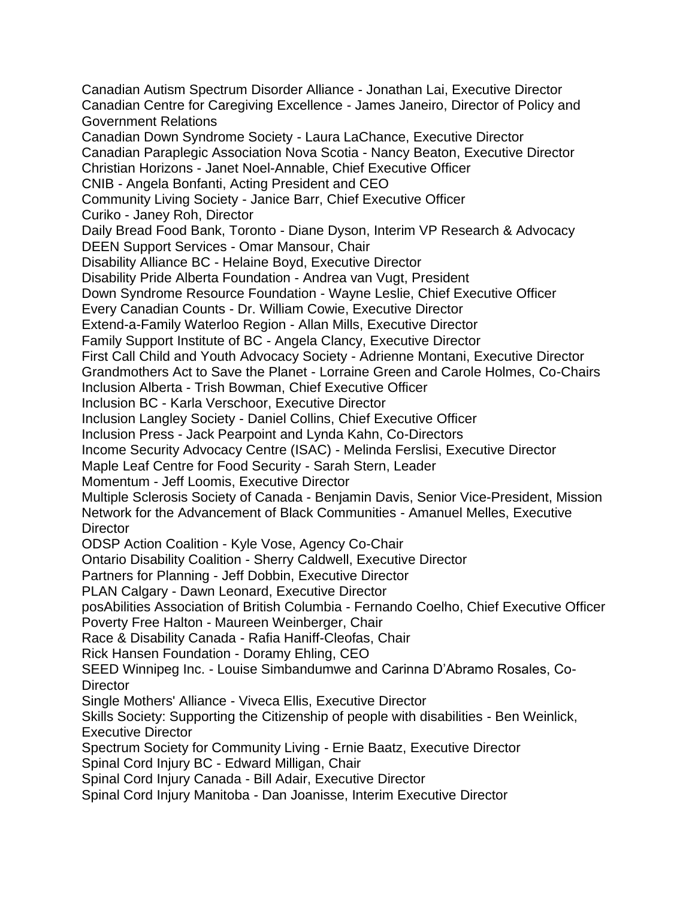Canadian Autism Spectrum Disorder Alliance - Jonathan Lai, Executive Director Canadian Centre for Caregiving Excellence - James Janeiro, Director of Policy and Government Relations Canadian Down Syndrome Society - Laura LaChance, Executive Director Canadian Paraplegic Association Nova Scotia - Nancy Beaton, Executive Director Christian Horizons - Janet Noel-Annable, Chief Executive Officer CNIB - Angela Bonfanti, Acting President and CEO Community Living Society - Janice Barr, Chief Executive Officer Curiko - Janey Roh, Director Daily Bread Food Bank, Toronto - Diane Dyson, Interim VP Research & Advocacy DEEN Support Services - Omar Mansour, Chair Disability Alliance BC - Helaine Boyd, Executive Director Disability Pride Alberta Foundation - Andrea van Vugt, President Down Syndrome Resource Foundation - Wayne Leslie, Chief Executive Officer Every Canadian Counts - Dr. William Cowie, Executive Director Extend-a-Family Waterloo Region - Allan Mills, Executive Director Family Support Institute of BC - Angela Clancy, Executive Director First Call Child and Youth Advocacy Society - Adrienne Montani, Executive Director Grandmothers Act to Save the Planet - Lorraine Green and Carole Holmes, Co-Chairs Inclusion Alberta - Trish Bowman, Chief Executive Officer Inclusion BC - Karla Verschoor, Executive Director Inclusion Langley Society - Daniel Collins, Chief Executive Officer Inclusion Press - Jack Pearpoint and Lynda Kahn, Co-Directors Income Security Advocacy Centre (ISAC) - Melinda Ferslisi, Executive Director Maple Leaf Centre for Food Security - Sarah Stern, Leader Momentum - Jeff Loomis, Executive Director Multiple Sclerosis Society of Canada - Benjamin Davis, Senior Vice-President, Mission Network for the Advancement of Black Communities - Amanuel Melles, Executive **Director** ODSP Action Coalition - Kyle Vose, Agency Co-Chair Ontario Disability Coalition - Sherry Caldwell, Executive Director Partners for Planning - Jeff Dobbin, Executive Director PLAN Calgary - Dawn Leonard, Executive Director posAbilities Association of British Columbia - Fernando Coelho, Chief Executive Officer Poverty Free Halton - Maureen Weinberger, Chair Race & Disability Canada - Rafia Haniff-Cleofas, Chair Rick Hansen Foundation - Doramy Ehling, CEO SEED Winnipeg Inc. - Louise Simbandumwe and Carinna D'Abramo Rosales, Co-**Director** Single Mothers' Alliance - Viveca Ellis, Executive Director Skills Society: Supporting the Citizenship of people with disabilities - Ben Weinlick, Executive Director Spectrum Society for Community Living - Ernie Baatz, Executive Director Spinal Cord Injury BC - Edward Milligan, Chair Spinal Cord Injury Canada - Bill Adair, Executive Director Spinal Cord Injury Manitoba - Dan Joanisse, Interim Executive Director